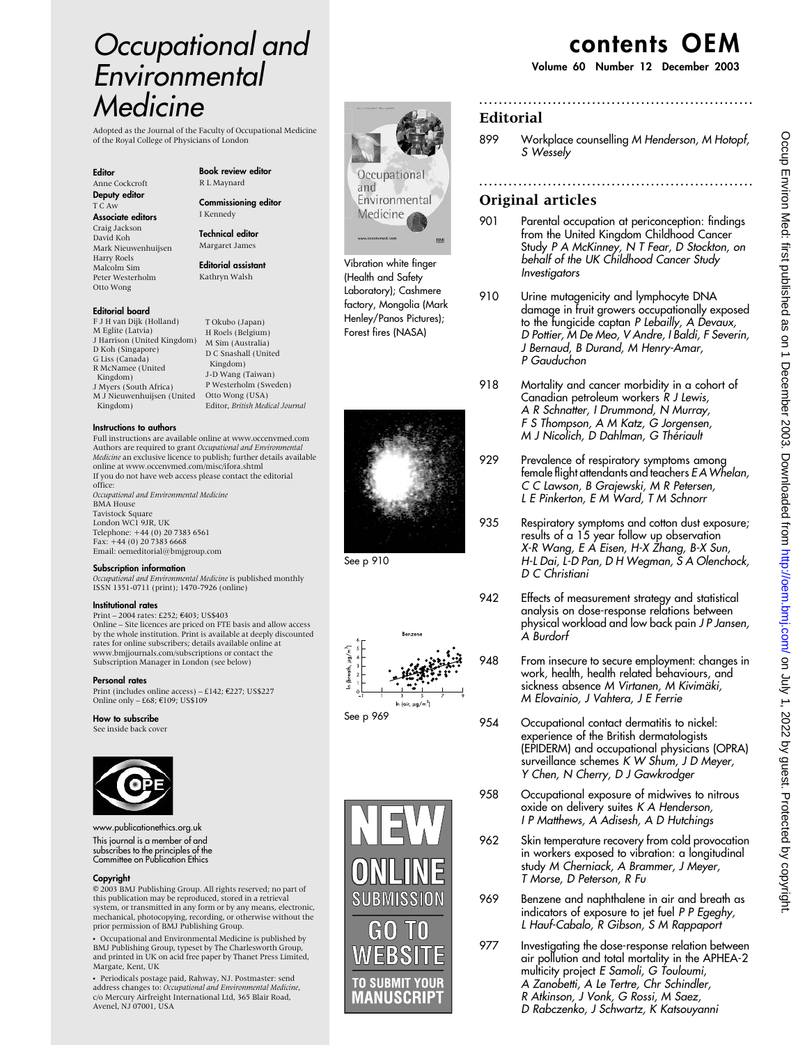# Occupational and Environmental Medicine

Adopted as the Journal of the Faculty of Occupational Medicine of the Royal College of Physicians of London

#### Editor

Anne Cockcroft Deputy editor T C Aw

Associate editors Craig Jackson David Koh Mark Nieuwenhuijsen Harry Roels

Malcolm Sim Peter Westerholm Otto Wong

## Editorial board

F J H van Dijk (Holland) M Eglite (Latvia) J Harrison (United Kingdom) D Koh (Singapore) G Liss (Canada) R McNamee (United Kingdom) J Myers (South Africa) M J Nieuwenhuijsen (United Kingdom)

#### Instructions to authors

Full instructions are available online at www.occenvmed.com Authors are required to grant *Occupational and Environmental*<br>*Medicine* an exclusive licence to publish; further details available online at www.occenvmed.com/misc/ifora.shtml If you do not have web access please contact the editorial office: Occupational and Environmental Medicine BMA House Tavistock Square London WC1 9JR, UK Telephone: +44 (0) 20 7383 6561 Fax: +44 (0) 20 7383 6668 Email: oemeditorial@bmjgroup.com

#### Subscription information

Occupational and Environmental Medicine is published monthly ISSN 1351-0711 (print); 1470-7926 (online)

## Institutional rates

Print – 2004 rates: £252; €403; US\$403 Online – Site licences are priced on FTE basis and allow access by the whole institution. Print is available at deeply discounted rates for online subscribers; details available online at www.bmjjournals.com/subscriptions or contact the Subscription Manager in London (see below)

#### Personal rates

Print (includes online access) – £142;  $€227$ ; US\$227 Online only  $-668$ ;  $6109$ ; US\$109

## How to subscribe

See inside back cover



www.publicationethics.org.uk This journal is a member of and subscribes to the principles of the Committee on Publication Ethics

#### Copyright

E 2003 BMJ Publishing Group. All rights reserved; no part of this publication may be reproduced, stored in a retrieval system, or transmitted in any form or by any means, electronic, mechanical, photocopying, recording, or otherwise without the prior permission of BMJ Publishing Group.

• Occupational and Environmental Medicine is published by BMJ Publishing Group, typeset by The Charlesworth Group, and printed in UK on acid free paper by Thanet Press Limited, Margate, Kent, UK

· Periodicals postage paid, Rahway, NJ. Postmaster: send<br>address changes to: Occupational and Environmental Medicine, c/o Mercury Airfreight International Ltd, 365 Blair Road, Avenel, NJ 07001, USA

Book review editor R L Maynard

Commissioning editor I Kennedy

Technical editor Margaret James

Editorial assistant Kathryn Walsh

T Okubo (Japan) H Roels (Belgium) M Sim (Australia) D C Snashall (United Kingdom) J-D Wang (Taiwan) P Westerholm (Sweden) Otto Wong (USA) Editor, British Medical Journal Occupational and Environmental Medicine

(Health and Safety Laboratory); Cashmere factory, Mongolia (Mark Henley/Panos Pictures); Forest fires (NASA)







# contents OEM

Volume 60 Number 12 December 2003

## Editorial

899 Workplace counselling M Henderson, M Hotopf, S Wessely

........................................................

........................................................

## Original articles

- 901 Parental occupation at periconception: findings from the United Kingdom Childhood Cancer Study P A McKinney, N T Fear, D Stockton, on behalf of the UK Childhood Cancer Study Investigators
- 910 Urine mutagenicity and lymphocyte DNA damage in fruit growers occupationally exposed to the fungicide captan P Lebailly, A Devaux, D Pottier, M De Meo, V Andre, I Baldi, F Severin, J Bernaud, B Durand, M Henry-Amar, P Gauduchon
- 918 Mortality and cancer morbidity in a cohort of Canadian petroleum workers R J Lewis, A R Schnatter, I Drummond, N Murray, F S Thompson, A M Katz, G Jorgensen, M J Nicolich, D Dahlman, G Thériault
- 929 Prevalence of respiratory symptoms among female flight attendants and teachers E A Whelan, C C Lawson, B Grajewski, M R Petersen, L E Pinkerton, E M Ward, T M Schnorr
- 935 Respiratory symptoms and cotton dust exposure; results of a 15 year follow up observation X-R Wang, E A Eisen, H-X Zhang, B-X Sun, H-L Dai, L-D Pan, D H Wegman, S A Olenchock, D C Christiani
- 942 Effects of measurement strategy and statistical analysis on dose-response relations between physical workload and low back pain J P Jansen, A Burdorf
- 948 From insecure to secure employment: changes in work, health, health related behaviours, and sickness absence M Virtanen, M Kivimäki, M Elovainio, J Vahtera, J E Ferrie
- 954 Occupational contact dermatitis to nickel: experience of the British dermatologists (EPIDERM) and occupational physicians (OPRA) surveillance schemes K W Shum, J D Meyer, Y Chen, N Cherry, D J Gawkrodger
- 958 Occupational exposure of midwives to nitrous oxide on delivery suites K A Henderson, I P Matthews, A Adisesh, A D Hutchings
- 962 Skin temperature recovery from cold provocation in workers exposed to vibration: a longitudinal study M Cherniack, A Brammer, J Meyer, T Morse, D Peterson, R Fu
- 969 Benzene and naphthalene in air and breath as indicators of exposure to jet fuel P P Egeghy, L Hauf-Cabalo, R Gibson, S M Rappaport
- 977 Investigating the dose-response relation between air pollution and total mortality in the APHEA-2 multicity project E Samoli, G Touloumi, A Zanobetti, A Le Tertre, Chr Schindler, R Atkinson, J Vonk, G Rossi, M Saez, D Rabczenko, J Schwartz, K Katsouyanni